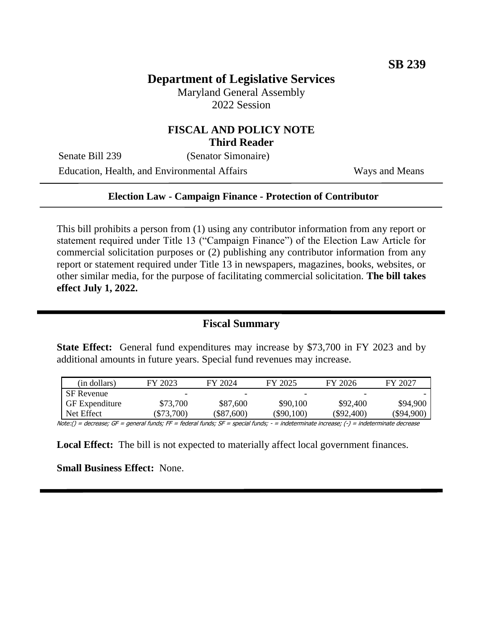# **Department of Legislative Services**

Maryland General Assembly 2022 Session

### **FISCAL AND POLICY NOTE Third Reader**

Senate Bill 239 (Senator Simonaire)

Education, Health, and Environmental Affairs Ways and Means

#### **Election Law - Campaign Finance - Protection of Contributor**

This bill prohibits a person from (1) using any contributor information from any report or statement required under Title 13 ("Campaign Finance") of the Election Law Article for commercial solicitation purposes or (2) publishing any contributor information from any report or statement required under Title 13 in newspapers, magazines, books, websites, or other similar media, for the purpose of facilitating commercial solicitation. **The bill takes effect July 1, 2022.** 

### **Fiscal Summary**

**State Effect:** General fund expenditures may increase by \$73,700 in FY 2023 and by additional amounts in future years. Special fund revenues may increase.

| (in dollars)          | FY 2023    | FY 2024      | FY 2025                  | FY 2026      | FY 2027    |
|-----------------------|------------|--------------|--------------------------|--------------|------------|
| <b>SF</b> Revenue     |            |              | $\overline{\phantom{0}}$ | -            |            |
| <b>GF</b> Expenditure | \$73,700   | \$87,600     | \$90,100                 | \$92,400     | \$94,900   |
| Net Effect            | $\$73,700$ | $(\$87,600)$ | (\$90,100)               | $(\$92,400)$ | (\$94,900) |

Note:() = decrease; GF = general funds; FF = federal funds; SF = special funds; - = indeterminate increase; (-) = indeterminate decrease

**Local Effect:** The bill is not expected to materially affect local government finances.

**Small Business Effect:** None.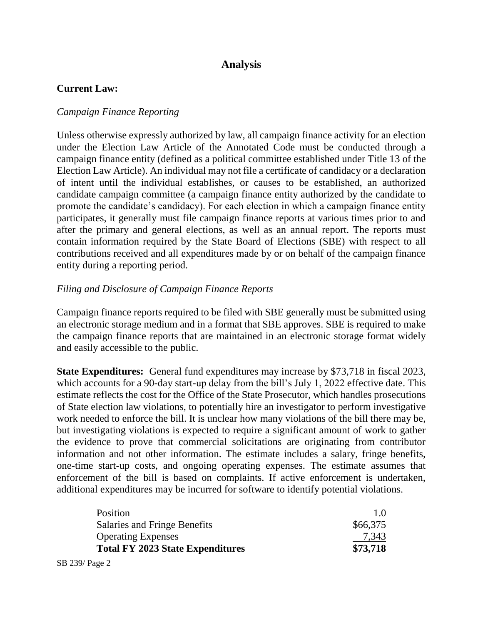# **Analysis**

## **Current Law:**

### *Campaign Finance Reporting*

Unless otherwise expressly authorized by law, all campaign finance activity for an election under the Election Law Article of the Annotated Code must be conducted through a campaign finance entity (defined as a political committee established under Title 13 of the Election Law Article). An individual may not file a certificate of candidacy or a declaration of intent until the individual establishes, or causes to be established, an authorized candidate campaign committee (a campaign finance entity authorized by the candidate to promote the candidate's candidacy). For each election in which a campaign finance entity participates, it generally must file campaign finance reports at various times prior to and after the primary and general elections, as well as an annual report. The reports must contain information required by the State Board of Elections (SBE) with respect to all contributions received and all expenditures made by or on behalf of the campaign finance entity during a reporting period.

### *Filing and Disclosure of Campaign Finance Reports*

Campaign finance reports required to be filed with SBE generally must be submitted using an electronic storage medium and in a format that SBE approves. SBE is required to make the campaign finance reports that are maintained in an electronic storage format widely and easily accessible to the public.

**State Expenditures:** General fund expenditures may increase by \$73,718 in fiscal 2023, which accounts for a 90-day start-up delay from the bill's July 1, 2022 effective date. This estimate reflects the cost for the Office of the State Prosecutor, which handles prosecutions of State election law violations, to potentially hire an investigator to perform investigative work needed to enforce the bill. It is unclear how many violations of the bill there may be, but investigating violations is expected to require a significant amount of work to gather the evidence to prove that commercial solicitations are originating from contributor information and not other information. The estimate includes a salary, fringe benefits, one-time start-up costs, and ongoing operating expenses. The estimate assumes that enforcement of the bill is based on complaints. If active enforcement is undertaken, additional expenditures may be incurred for software to identify potential violations.

| 1.0      |
|----------|
| \$66,375 |
| 7,343    |
| \$73,718 |
|          |